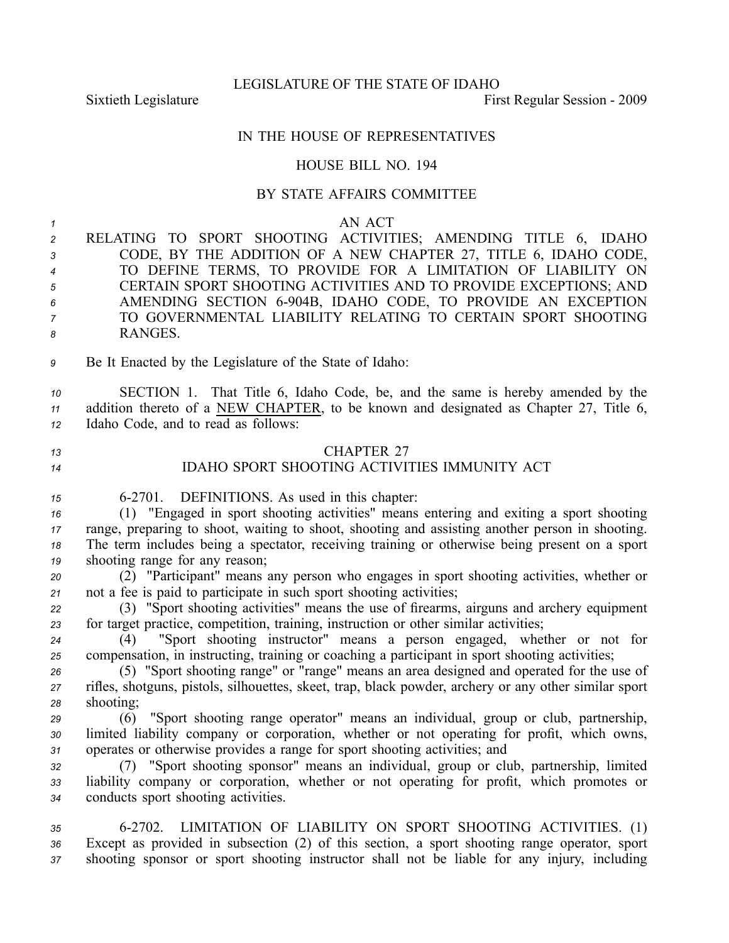### LEGISLATURE OF THE STATE OF IDAHO

Sixtieth Legislature First Regular Session - 2009

# IN THE HOUSE OF REPRESENTATIVES

# HOUSE BILL NO. 194

# BY STATE AFFAIRS COMMITTEE

*1* AN ACT

 RELATING TO SPORT SHOOTING ACTIVITIES; AMENDING TITLE 6, IDAHO CODE, BY THE ADDITION OF A NEW CHAPTER 27, TITLE 6, IDAHO CODE, TO DEFINE TERMS, TO PROVIDE FOR A LIMITATION OF LIABILITY ON CERTAIN SPORT SHOOTING ACTIVITIES AND TO PROVIDE EXCEPTIONS; AND AMENDING SECTION 6904B, IDAHO CODE, TO PROVIDE AN EXCEPTION TO GOVERNMENTAL LIABILITY RELATING TO CERTAIN SPORT SHOOTING *8* RANGES.

*<sup>9</sup>* Be It Enacted by the Legislature of the State of Idaho:

*<sup>10</sup>* SECTION 1. That Title 6, Idaho Code, be, and the same is hereby amended by the *<sup>11</sup>* addition thereto of <sup>a</sup> NEW CHAPTER, to be known and designated as Chapter 27, Title 6, *<sup>12</sup>* Idaho Code, and to read as follows:

*13* CHAPTER 27 *<sup>14</sup>* IDAHO SPORT SHOOTING ACTIVITIES IMMUNITY ACT

*<sup>15</sup>* 62701. DEFINITIONS. As used in this chapter:

 (1) "Engaged in spor<sup>t</sup> shooting activities" means entering and exiting <sup>a</sup> spor<sup>t</sup> shooting range, preparing to shoot, waiting to shoot, shooting and assisting another person in shooting. The term includes being <sup>a</sup> spectator, receiving training or otherwise being presen<sup>t</sup> on <sup>a</sup> spor<sup>t</sup> shooting range for any reason;

*<sup>20</sup>* (2) "Participant" means any person who engages in spor<sup>t</sup> shooting activities, whether or *<sup>21</sup>* not <sup>a</sup> fee is paid to participate in such spor<sup>t</sup> shooting activities;

*<sup>22</sup>* (3) "Sport shooting activities" means the use of firearms, airguns and archery equipment *<sup>23</sup>* for target practice, competition, training, instruction or other similar activities;

*<sup>24</sup>* (4) "Sport shooting instructor" means <sup>a</sup> person engaged, whether or not for *<sup>25</sup>* compensation, in instructing, training or coaching <sup>a</sup> participant in spor<sup>t</sup> shooting activities;

*<sup>26</sup>* (5) "Sport shooting range" or "range" means an area designed and operated for the use of *<sup>27</sup>* rifles, shotguns, pistols, silhouettes, skeet, trap, black powder, archery or any other similar spor<sup>t</sup> *<sup>28</sup>* shooting;

*<sup>29</sup>* (6) "Sport shooting range operator" means an individual, group or club, partnership, *<sup>30</sup>* limited liability company or corporation, whether or not operating for profit, which owns, *<sup>31</sup>* operates or otherwise provides <sup>a</sup> range for spor<sup>t</sup> shooting activities; and

*<sup>32</sup>* (7) "Sport shooting sponsor" means an individual, group or club, partnership, limited *<sup>33</sup>* liability company or corporation, whether or not operating for profit, which promotes or *<sup>34</sup>* conducts spor<sup>t</sup> shooting activities.

*<sup>35</sup>* 62702. LIMITATION OF LIABILITY ON SPORT SHOOTING ACTIVITIES. (1) *<sup>36</sup>* Except as provided in subsection (2) of this section, <sup>a</sup> spor<sup>t</sup> shooting range operator, spor<sup>t</sup> *<sup>37</sup>* shooting sponsor or spor<sup>t</sup> shooting instructor shall not be liable for any injury, including